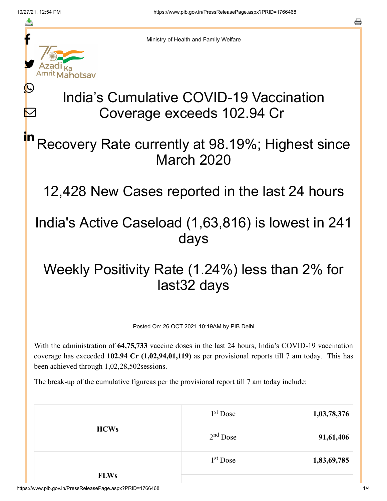≛

 $\bm{\nabla}$ 



Ministry of Health and Family Welfare

# India's Cumulative COVID-19 Vaccination Coverage exceeds 102.94 Cr

### Recovery Rate currently at 98.19%; Highest since March 2020 in

12,428 New Cases reported in the last 24 hours

## India's Active Caseload (1,63,816) is lowest in 241 days

# Weekly Positivity Rate (1.24%) less than 2% for last32 days

Posted On: 26 OCT 2021 10:19AM by PIB Delhi

With the administration of **64,75,733** vaccine doses in the last 24 hours, India's COVID-19 vaccination coverage has exceeded **102.94 Cr (1,02,94,01,119)** as per provisional reports till 7 am today. This has been achieved through 1,02,28,502sessions.

The break-up of the cumulative figureas per the provisional report till 7 am today include:

| 1,03,78,376 | 1 <sup>st</sup> Dose | <b>HCWs</b> |
|-------------|----------------------|-------------|
| 91,61,406   | $2nd$ Dose           |             |
| 1,83,69,785 | $1st$ Dose           |             |
|             |                      | <b>FLWs</b> |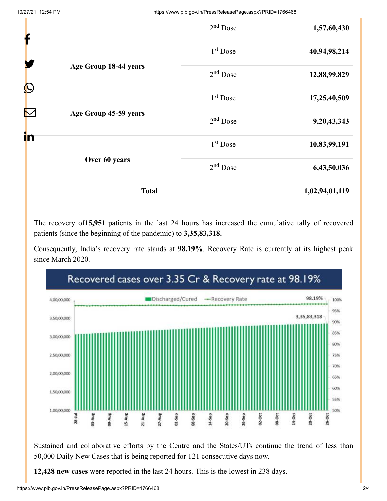| f                    |                             | $2nd$ Dose           | 1,57,60,430  |
|----------------------|-----------------------------|----------------------|--------------|
|                      |                             | 1 <sup>st</sup> Dose | 40,94,98,214 |
|                      | Age Group 18-44 years       | $2nd$ Dose           | 12,88,99,829 |
| $\bigcirc$           |                             | 1 <sup>st</sup> Dose | 17,25,40,509 |
| $\color{red} \nabla$ | Age Group 45-59 years<br>in | $2nd$ Dose           | 9,20,43,343  |
|                      |                             | 1 <sup>st</sup> Dose | 10,83,99,191 |
|                      | Over 60 years               | $2nd$ Dose           | 6,43,50,036  |
| <b>Total</b>         |                             | 1,02,94,01,119       |              |

The recovery of**15,951** patients in the last 24 hours has increased the cumulative tally of recovered patients (since the beginning of the pandemic) to **3,35,83,318.**

Consequently, India's recovery rate stands at **98.19%**. Recovery Rate is currently at its highest peak since March 2020.



Sustained and collaborative efforts by the Centre and the States/UTs continue the trend of less than 50,000 Daily New Cases that is being reported for 121 consecutive days now.

**12,428 new cases** were reported in the last 24 hours. This is the lowest in 238 days.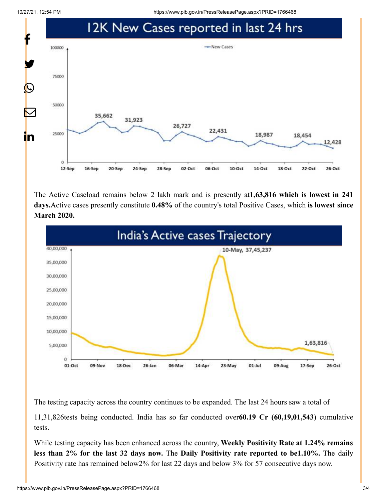10/27/21, 12:54 PM https://www.pib.gov.in/PressReleasePage.aspx?PRID=1766468



The Active Caseload remains below 2 lakh mark and is presently at**1,63,816 which is lowest in 241 days.**Active cases presently constitute **0.48%** of the country's total Positive Cases, which **is lowest since March 2020.**



The testing capacity across the country continues to be expanded. The last 24 hours saw a total of

11,31,826tests being conducted. India has so far conducted over**60.19 Cr (60,19,01,543**) cumulative tests.

While testing capacity has been enhanced across the country, **Weekly Positivity Rate at 1.24% remains less than 2% for the last 32 days now.** The **Daily Positivity rate reported to be1.10%.** The daily Positivity rate has remained below2% for last 22 days and below 3% for 57 consecutive days now.